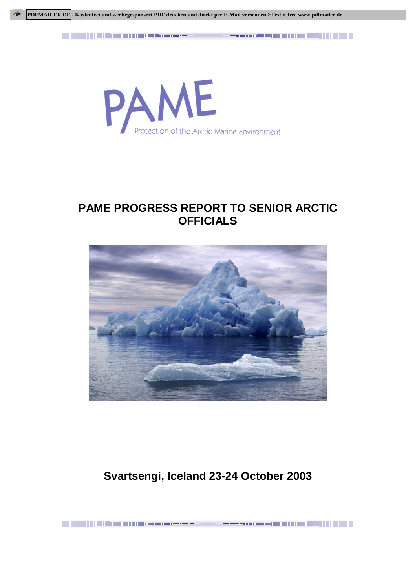<u> 1989 - Andrej Mariji Mariji Mariji Mariji Mariji Mariji Mariji Mariji Mariji Mariji Mariji Mariji Mariji Ma</u> 



## **PAME PROGRESS REPORT TO SENIOR ARCTIC OFFICIALS**



# **Svartsengi, Iceland 23-24 October 2003**

a se a componente de la componente de la componente de la componente de la componente de la componente de la componente de la componente de la componente de la componente de la componente de la componente de la componente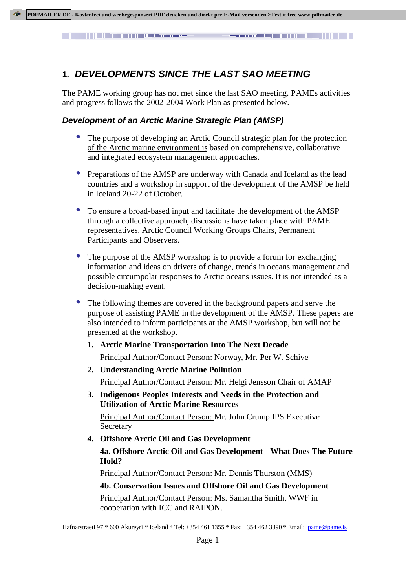### **1. DEVELOPMENTS SINCE THE LAST SAO MEETING**

The PAME working group has not met since the last SAO meeting. PAMEs activities and progress follows the 2002-2004 Work Plan as presented below.

#### **Development of an Arctic Marine Strategic Plan (AMSP)**

- The purpose of developing an <u>Arctic Council strategic plan for the protection</u> of the Arctic marine environment is based on comprehensive, collaborative and integrated ecosystem management approaches.
- Preparations of the AMSP are underway with Canada and Iceland as the lead countries and a workshop in support of the development of the AMSP be held in Iceland 20-22 of October.
- To ensure a broad-based input and facilitate the development of the AMSP through a collective approach, discussions have taken place with PAME representatives, Arctic Council Working Groups Chairs, Permanent Participants and Observers.
- The purpose of the **AMSP** workshop is to provide a forum for exchanging information and ideas on drivers of change, trends in oceans management and possible circumpolar responses to Arctic oceans issues. It is not intended as a decision-making event.
- The following themes are covered in the background papers and serve the purpose of assisting PAME in the development of the AMSP. These papers are also intended to inform participants at the AMSP workshop, but will not be presented at the workshop.
	- **1. Arctic Marine Transportation Into The Next Decade** Principal Author/Contact Person: Norway, Mr. Per W. Schive
	- **2. Understanding Arctic Marine Pollution** Principal Author/Contact Person: Mr. Helgi Jensson Chair of AMAP
	- **3. Indigenous Peoples Interests and Needs in the Protection and Utilization of Arctic Marine Resources** Principal Author/Contact Person: Mr. John Crump IPS Executive Secretary
	- **4. Offshore Arctic Oil and Gas Development 4a. Offshore Arctic Oil and Gas Development - What Does The Future Hold?**

Principal Author/Contact Person: Mr. Dennis Thurston (MMS)

#### **4b. Conservation Issues and Offshore Oil and Gas Development**

Principal Author/Contact Person: Ms. Samantha Smith, WWF in cooperation with ICC and RAIPON.

Hafnarstraeti 97 \* 600 Akureyri \* Iceland \* Tel: +354 461 1355 \* Fax: +354 462 3390 \* Email: pame@pame.is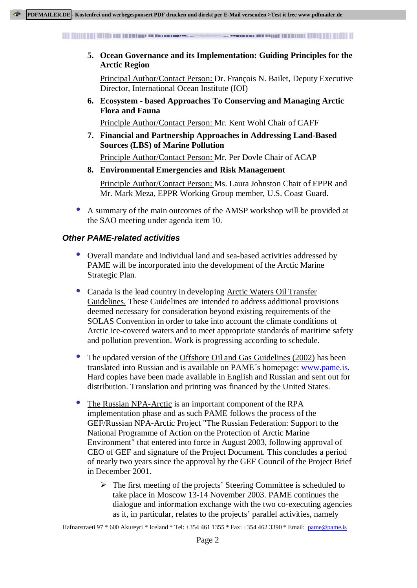<u> 1989 - Andrej Mariji Mariji Mariji Mariji Mariji Mariji Mariji Mariji Mariji Mariji Mariji Mariji Mariji Marij</u> 

**5. Ocean Governance and its Implementation: Guiding Principles for the Arctic Region**

Principal Author/Contact Person: Dr. François N. Bailet, Deputy Executive Director, International Ocean Institute (IOI)

**6. Ecosystem - based Approaches To Conserving and Managing Arctic Flora and Fauna**

Principle Author/Contact Person: Mr. Kent Wohl Chair of CAFF

**7. Financial and Partnership Approaches in Addressing Land-Based Sources (LBS) of Marine Pollution**

Principle Author/Contact Person: Mr. Per Dovle Chair of ACAP

**8. Environmental Emergencies and Risk Management**

Principle Author/Contact Person: Ms. Laura Johnston Chair of EPPR and Mr. Mark Meza, EPPR Working Group member, U.S. Coast Guard.

• A summary of the main outcomes of the AMSP workshop will be provided at the SAO meeting under agenda item 10.

#### **Other PAME-related activities**

- Overall mandate and individual land and sea-based activities addressed by PAME will be incorporated into the development of the Arctic Marine Strategic Plan.
- Canada is the lead country in developing Arctic Waters Oil Transfer Guidelines. These Guidelines are intended to address additional provisions deemed necessary for consideration beyond existing requirements of the SOLAS Convention in order to take into account the climate conditions of Arctic ice-covered waters and to meet appropriate standards of maritime safety and pollution prevention. Work is progressing according to schedule.
- The updated version of the Offshore Oil and Gas Guidelines (2002) has been translated into Russian and is available on PAME´s homepage: www.pame.is. Hard copies have been made available in English and Russian and sent out for distribution. Translation and printing was financed by the United States.
- The Russian NPA-Arctic is an important component of the RPA implementation phase and as such PAME follows the process of the GEF/Russian NPA-Arctic Project "The Russian Federation: Support to the National Programme of Action on the Protection of Arctic Marine Environment" that entered into force in August 2003, following approval of CEO of GEF and signature of the Project Document. This concludes a period of nearly two years since the approval by the GEF Council of the Project Brief in December 2001.
	- $\triangleright$  The first meeting of the projects' Steering Committee is scheduled to take place in Moscow 13-14 November 2003. PAME continues the dialogue and information exchange with the two co-executing agencies as it, in particular, relates to the projects' parallel activities, namely

Hafnarstraeti 97 \* 600 Akureyri \* Iceland \* Tel: +354 461 1355 \* Fax: +354 462 3390 \* Email: pame@pame.is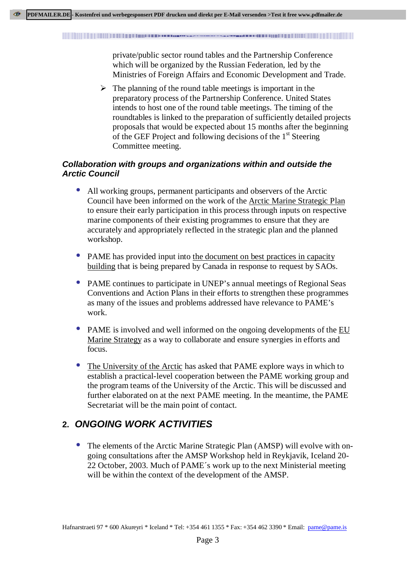<u> 1999 - Andrej Mariji Mariji Mariji Mariji Mariji Mariji Mariji Mariji Mariji Mariji Mariji Mariji Mariji Mar</u> 

> private/public sector round tables and the Partnership Conference which will be organized by the Russian Federation, led by the Ministries of Foreign Affairs and Economic Development and Trade.

 $\triangleright$  The planning of the round table meetings is important in the preparatory process of the Partnership Conference. United States intends to host one of the round table meetings. The timing of the roundtables is linked to the preparation of sufficiently detailed projects proposals that would be expected about 15 months after the beginning of the GEF Project and following decisions of the  $1<sup>st</sup>$  Steering Committee meeting.

#### **Collaboration with groups and organizations within and outside the Arctic Council**

- All working groups, permanent participants and observers of the Arctic Council have been informed on the work of the Arctic Marine Strategic Plan to ensure their early participation in this process through inputs on respective marine components of their existing programmes to ensure that they are accurately and appropriately reflected in the strategic plan and the planned workshop.
- PAME has provided input into the document on best practices in capacity building that is being prepared by Canada in response to request by SAOs.
- PAME continues to participate in UNEP's annual meetings of Regional Seas Conventions and Action Plans in their efforts to strengthen these programmes as many of the issues and problems addressed have relevance to PAME's work.
- PAME is involved and well informed on the ongoing developments of the EU Marine Strategy as a way to collaborate and ensure synergies in efforts and focus.
- The University of the Arctic has asked that PAME explore ways in which to establish a practical-level cooperation between the PAME working group and the program teams of the University of the Arctic. This will be discussed and further elaborated on at the next PAME meeting. In the meantime, the PAME Secretariat will be the main point of contact.

## **2. ONGOING WORK ACTIVITIES**

• The elements of the Arctic Marine Strategic Plan (AMSP) will evolve with ongoing consultations after the AMSP Workshop held in Reykjavik, Iceland 20- 22 October, 2003. Much of PAME´s work up to the next Ministerial meeting will be within the context of the development of the AMSP.